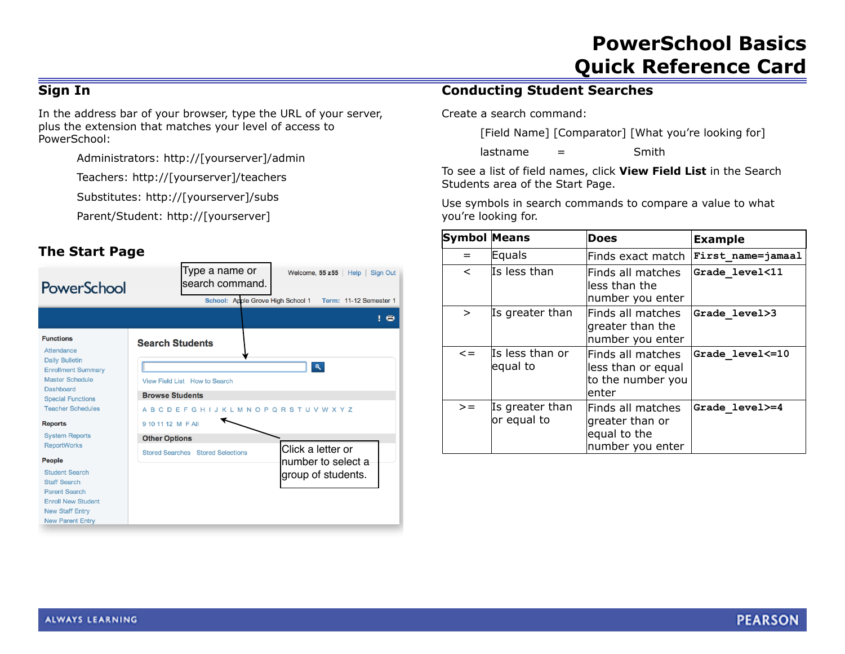# **PowerSchool Basics Quick Reference Card**

### **Sign In**

In the address bar of your browser, type the URL of your server, plus the extension that matches your level of access to PowerSchool:

Administrators: http://[yourserver]/admin

Teachers: http://[yourserver]/teachers

Substitutes: http://[yourserver]/subs

Parent/Student: http://[yourserver]

### **The Start Page**



### **Conducting Student Searches**

Create a search command:

[Field Name] [Comparator] [What you're looking for]

 $lastname =$  Smith

To see a list of field names, click **View Field List** in the Search Students area of the Start Page.

Use symbols in search commands to compare a value to what you're looking for.

| Symbol Means             |                                | <b>Does</b>                                                              | <b>Example</b>    |
|--------------------------|--------------------------------|--------------------------------------------------------------------------|-------------------|
| $=$                      | Equals                         | Finds exact match                                                        | First name=jamaal |
| $\overline{\phantom{a}}$ | Is less than                   | Finds all matches<br>less than the<br>number you enter                   | Grade level<11    |
| $\geq$                   | Is greater than                | Finds all matches<br>greater than the<br>number you enter                | Grade level>3     |
| $\leq$ $=$               | Is less than or<br>equal to    | Finds all matches<br>less than or equal<br>to the number you<br>enter    | Grade level <= 10 |
| $>=$                     | Is greater than<br>or equal to | Finds all matches<br>greater than or<br>equal to the<br>number you enter | Grade level>=4    |

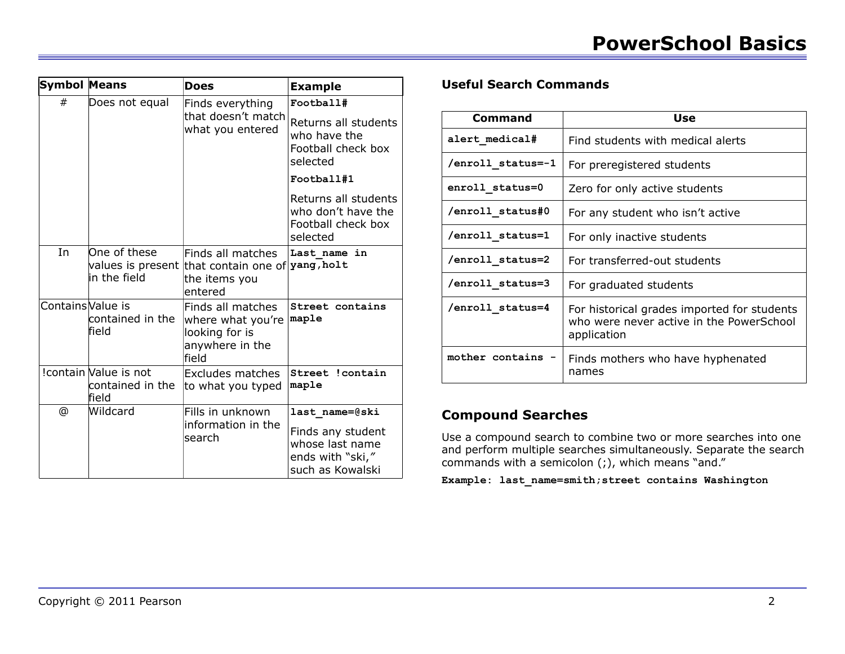| <b>Symbol Means</b> |                                                    | <b>Does</b>                                                                                       | <b>Example</b>                                                                                 |
|---------------------|----------------------------------------------------|---------------------------------------------------------------------------------------------------|------------------------------------------------------------------------------------------------|
| #                   | Does not equal                                     | Finds everything<br>that doesn't match<br>what you entered                                        | Football#                                                                                      |
|                     |                                                    |                                                                                                   | Returns all students<br>who have the<br>Football check box<br>selected                         |
|                     |                                                    |                                                                                                   | Football#1                                                                                     |
|                     |                                                    |                                                                                                   | Returns all students<br>who don't have the<br>Football check box<br>selected                   |
| In                  | One of these<br>in the field                       | Finds all matches<br>values is present that contain one of yang, holt<br>the items you<br>entered | Last name in                                                                                   |
| Contains Value is   | contained in the<br>field                          | Finds all matches<br>where what you're<br>looking for is<br>anywhere in the<br>field              | Street contains<br>maple                                                                       |
|                     | !contain Value is not<br>contained in the<br>field | Excludes matches<br>to what you typed                                                             | Street !contain<br>maple                                                                       |
| @                   | Wildcard                                           | Fills in unknown<br>information in the<br>search                                                  | last name=@ski<br>Finds any student<br>whose last name<br>ends with "ski,"<br>such as Kowalski |

### **Useful Search Commands**

| Command           | Use                                                                                                    |
|-------------------|--------------------------------------------------------------------------------------------------------|
| alert medical#    | Find students with medical alerts                                                                      |
| /enroll status=-1 | For preregistered students                                                                             |
| enroll status=0   | Zero for only active students                                                                          |
| /enroll status#0  | For any student who isn't active                                                                       |
| /enroll status=1  | For only inactive students                                                                             |
| /enroll status=2  | For transferred-out students                                                                           |
| /enroll status=3  | For graduated students                                                                                 |
| /enroll status=4  | For historical grades imported for students<br>who were never active in the PowerSchool<br>application |
| mother contains   | Finds mothers who have hyphenated<br>names                                                             |

### **Compound Searches**

Use a compound search to combine two or more searches into one and perform multiple searches simultaneously. Separate the search commands with a semicolon (;), which means "and."

**Example: last\_name=smith;street contains Washington**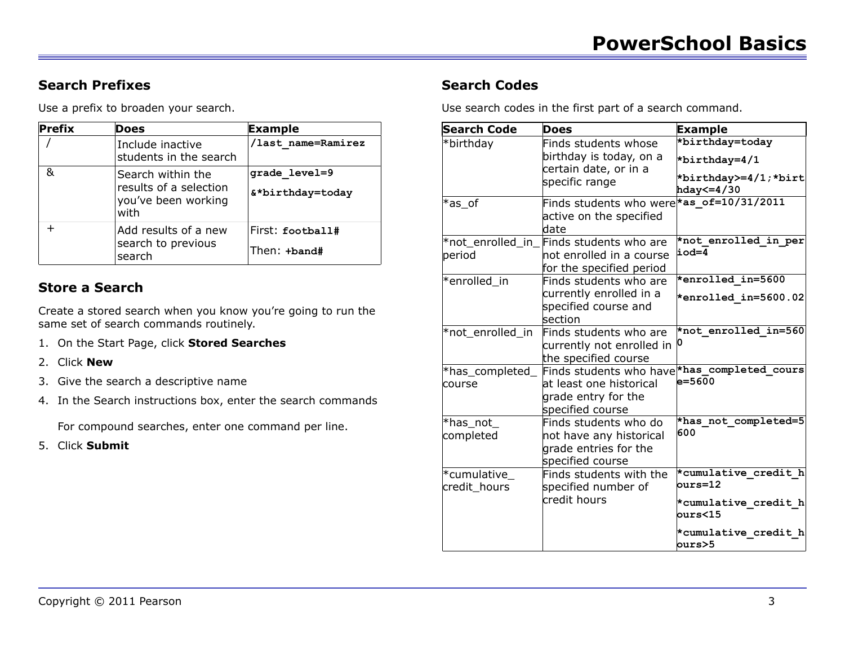# **Search Prefixes**

Use a prefix to broaden your search.

| Prefix | Does                                                                       | Example                           |
|--------|----------------------------------------------------------------------------|-----------------------------------|
|        | Include inactive<br>students in the search                                 | /last name=Ramirez                |
| &      | Search within the<br>results of a selection<br>you've been working<br>with | grade level=9<br>&*birthday=today |
|        | Add results of a new<br>search to previous<br>search                       | First: football#<br>Then: +band#  |

# **Store a Search**

Create a stored search when you know you're going to run the same set of search commands routinely.

- 1. On the Start Page, click **Stored Searches**
- 2. Click **New**
- 3. Give the search a descriptive name
- 4. In the Search instructions box, enter the search commands

For compound searches, enter one command per line.

5. Click **Submit**

# **Search Codes**

Use search codes in the first part of a search command.

| <b>Search Code</b>          | <b>Does</b>                                                                                     | <b>Example</b>                                                           |
|-----------------------------|-------------------------------------------------------------------------------------------------|--------------------------------------------------------------------------|
| *birthday                   | Finds students whose<br>birthday is today, on a<br>certain date, or in a<br>specific range      | *birthday=today<br>*birthday=4/1<br>*birthday>=4/1;*birt<br>hday <= 4/30 |
| $*$ as_of                   | Finds students who were<br>active on the specified<br>date                                      | *as $of=10/31/2011$                                                      |
| period                      | *not_enrolled_in_Finds students who are<br>not enrolled in a course<br>for the specified period | *not enrolled in per<br>iod=4                                            |
| *enrolled in                | Finds students who are<br>currently enrolled in a<br>specified course and<br>section            | *enrolled in=5600<br>*enrolled in=5600.02                                |
| *not enrolled in            | Finds students who are<br>currently not enrolled in<br>the specified course                     | *not enrolled in=560                                                     |
| *has_completed_<br>course   | Finds students who have<br>at least one historical<br>grade entry for the<br>specified course   | *has completed cours<br>$e = 5600$                                       |
| *has_not_<br>completed      | Finds students who do<br>not have any historical<br>grade entries for the<br>specified course   | *has not completed=5<br>600                                              |
| *cumulative<br>credit_hours | Finds students with the<br>specified number of<br>credit hours                                  | *cumulative credit h<br>$ours = 12$<br>*cumulative credit h<br>ours<15   |
|                             |                                                                                                 | *cumulative credit h<br>ours>5                                           |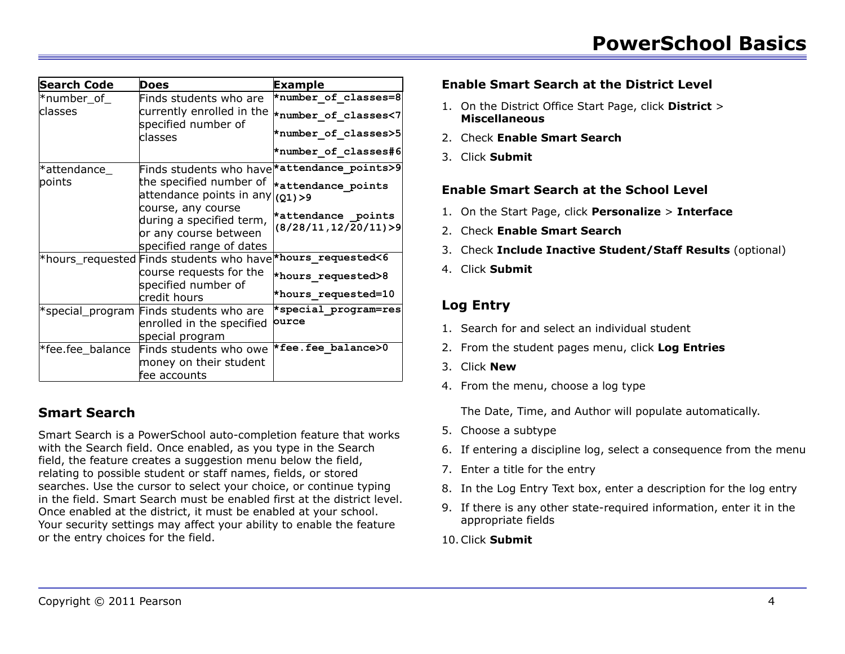| <b>Search Code</b> | <b>Does</b>                                                                                         | <b>Example</b>                                             |
|--------------------|-----------------------------------------------------------------------------------------------------|------------------------------------------------------------|
| $*$ number_of_     | Finds students who are                                                                              | *number of classes=8                                       |
| classes            | currently enrolled in the<br>specified number of                                                    | *number of classes<7                                       |
|                    | classes                                                                                             | *number of classes>5                                       |
|                    |                                                                                                     | *number of classes#6                                       |
| *attendance_       | Finds students who have *attendance_points>9                                                        |                                                            |
| points             | the specified number of<br>attendance points in any $ _{(Q1)>9}$                                    | *attendance points                                         |
|                    | course, any course<br>during a specified term,<br>or any course between<br>specified range of dates | *attendance points<br>$(8/28/11, 12/\overline{2}0/11)$ > 9 |
|                    | *hours_requested Finds students who have *hours_requested<6                                         |                                                            |
|                    | course requests for the<br>specified number of                                                      | *hours requested>8                                         |
|                    | credit hours                                                                                        | *hours requested=10                                        |
|                    | *special_program Finds students who are<br>enrolled in the specified<br>special program             | *special program=res<br>ource                              |
| *fee.fee balance   | Finds students who owe<br>money on their student<br>fee accounts                                    | *fee.fee balance>0                                         |

# **Smart Search**

Smart Search is a PowerSchool auto-completion feature that works with the Search field. Once enabled, as you type in the Search field, the feature creates a suggestion menu below the field, relating to possible student or staff names, fields, or stored searches. Use the cursor to select your choice, or continue typing in the field. Smart Search must be enabled first at the district level. Once enabled at the district, it must be enabled at your school. Your security settings may affect your ability to enable the feature or the entry choices for the field.

#### **Enable Smart Search at the District Level**

- 1. On the District Office Start Page, click **District** > **Miscellaneous**
- 2. Check **Enable Smart Search**
- 3. Click **Submit**

#### **Enable Smart Search at the School Level**

- 1. On the Start Page, click **Personalize** > **Interface**
- 2. Check **Enable Smart Search**
- 3. Check **Include Inactive Student/Staff Results** (optional)
- 4. Click **Submit**

### **Log Entry**

- 1. Search for and select an individual student
- 2. From the student pages menu, click **Log Entries**
- 3. Click **New**
- 4. From the menu, choose a log type

The Date, Time, and Author will populate automatically.

- 5. Choose a subtype
- 6. If entering a discipline log, select a consequence from the menu
- 7. Enter a title for the entry
- 8. In the Log Entry Text box, enter a description for the log entry
- 9. If there is any other state-required information, enter it in the appropriate fields
- 10.Click **Submit**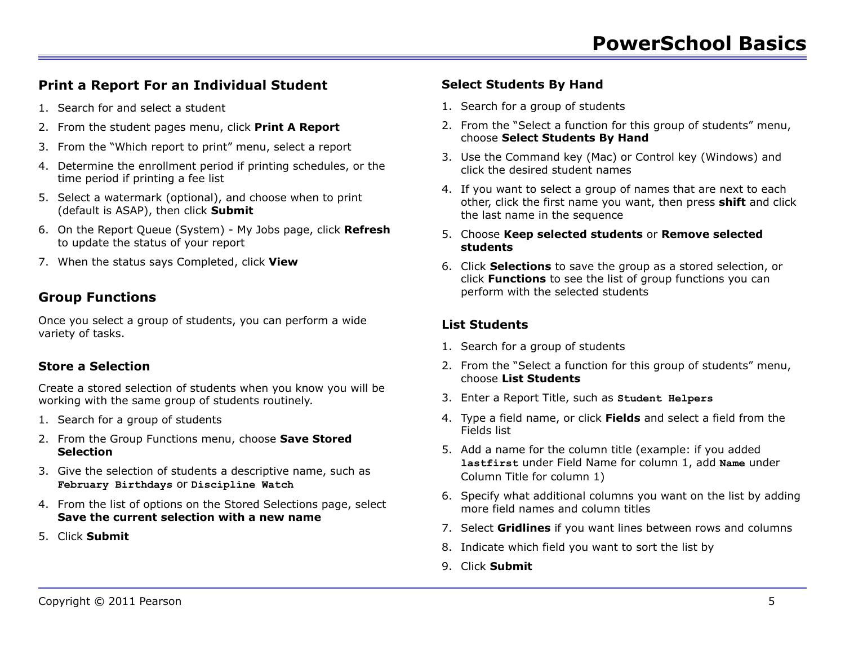# **Print a Report For an Individual Student**

- 1. Search for and select a student
- 2. From the student pages menu, click **Print A Report**
- 3. From the "Which report to print" menu, select a report
- 4. Determine the enrollment period if printing schedules, or the time period if printing a fee list
- 5. Select a watermark (optional), and choose when to print (default is ASAP), then click **Submit**
- 6. On the Report Queue (System) My Jobs page, click **Refresh** to update the status of your report
- 7. When the status says Completed, click **View**

# **Group Functions**

Once you select a group of students, you can perform a wide variety of tasks.

# **Store a Selection**

Create a stored selection of students when you know you will be working with the same group of students routinely.

- 1. Search for a group of students
- 2. From the Group Functions menu, choose **Save Stored Selection**
- 3. Give the selection of students a descriptive name, such as **February Birthdays** or **Discipline Watch**
- 4. From the list of options on the Stored Selections page, select **Save the current selection with a new name**
- 5. Click **Submit**

### **Select Students By Hand**

- 1. Search for a group of students
- 2. From the "Select a function for this group of students" menu, choose **Select Students By Hand**
- 3. Use the Command key (Mac) or Control key (Windows) and click the desired student names
- 4. If you want to select a group of names that are next to each other, click the first name you want, then press **shift** and click the last name in the sequence
- 5. Choose **Keep selected students** or **Remove selected students**
- 6. Click **Selections** to save the group as a stored selection, or click **Functions** to see the list of group functions you can perform with the selected students

### **List Students**

- 1. Search for a group of students
- 2. From the "Select a function for this group of students" menu, choose **List Students**
- 3. Enter a Report Title, such as **Student Helpers**
- 4. Type a field name, or click **Fields** and select a field from the Fields list
- 5. Add a name for the column title (example: if you added **lastfirst** under Field Name for column 1, add **Name** under Column Title for column 1)
- 6. Specify what additional columns you want on the list by adding more field names and column titles
- 7. Select **Gridlines** if you want lines between rows and columns
- 8. Indicate which field you want to sort the list by
- 9. Click **Submit**